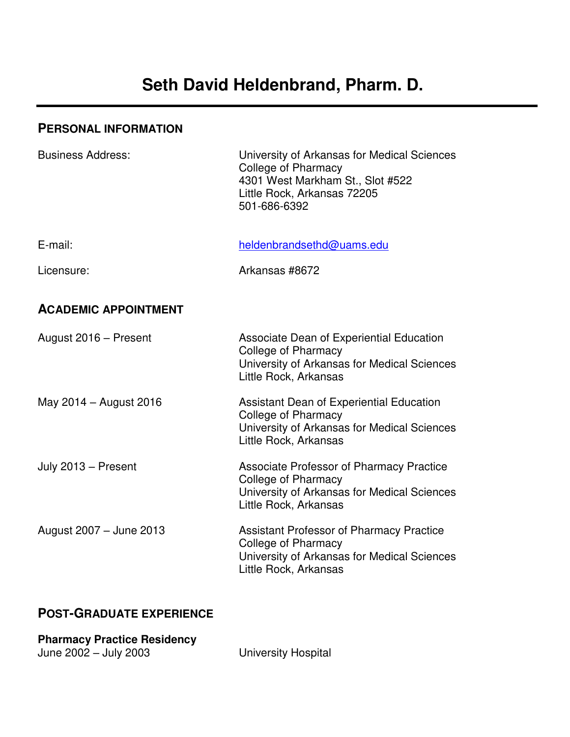### **PERSONAL INFORMATION**

| <b>Business Address:</b>    | University of Arkansas for Medical Sciences<br><b>College of Pharmacy</b><br>4301 West Markham St., Slot #522<br>Little Rock, Arkansas 72205<br>501-686-6392 |
|-----------------------------|--------------------------------------------------------------------------------------------------------------------------------------------------------------|
| E-mail:                     | heldenbrandsethd@uams.edu                                                                                                                                    |
| Licensure:                  | Arkansas #8672                                                                                                                                               |
| <b>ACADEMIC APPOINTMENT</b> |                                                                                                                                                              |
| August 2016 - Present       | Associate Dean of Experiential Education<br>College of Pharmacy<br>University of Arkansas for Medical Sciences<br>Little Rock, Arkansas                      |
| May 2014 - August 2016      | Assistant Dean of Experiential Education<br><b>College of Pharmacy</b><br>University of Arkansas for Medical Sciences<br>Little Rock, Arkansas               |
| July 2013 - Present         | <b>Associate Professor of Pharmacy Practice</b><br><b>College of Pharmacy</b><br>University of Arkansas for Medical Sciences<br>Little Rock, Arkansas        |
| August 2007 - June 2013     | <b>Assistant Professor of Pharmacy Practice</b><br>College of Pharmacy<br>University of Arkansas for Medical Sciences<br>Little Rock, Arkansas               |

## **POST-GRADUATE EXPERIENCE**

| <b>Pharmacy Practice Residency</b> |                     |
|------------------------------------|---------------------|
| June 2002 - July 2003              | University Hospital |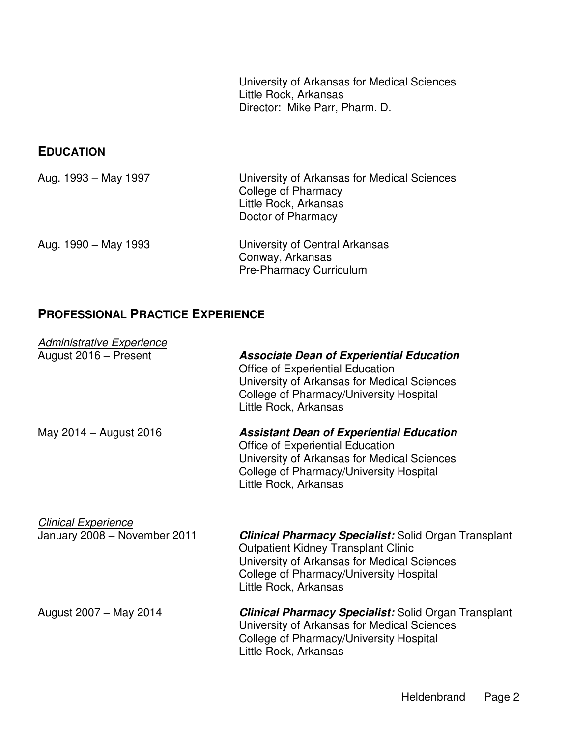University of Arkansas for Medical Sciences Little Rock, Arkansas Director: Mike Parr, Pharm. D.

### **EDUCATION**

| Aug. 1993 - May 1997 | University of Arkansas for Medical Sciences<br>College of Pharmacy<br>Little Rock, Arkansas<br>Doctor of Pharmacy |
|----------------------|-------------------------------------------------------------------------------------------------------------------|
| Aug. 1990 – May 1993 | University of Central Arkansas<br>Conway, Arkansas<br><b>Pre-Pharmacy Curriculum</b>                              |

## **PROFESSIONAL PRACTICE EXPERIENCE**

| Administrative Experience    |                                                                                                                                                                                                                              |
|------------------------------|------------------------------------------------------------------------------------------------------------------------------------------------------------------------------------------------------------------------------|
| August 2016 - Present        | <b>Associate Dean of Experiential Education</b><br>Office of Experiential Education<br>University of Arkansas for Medical Sciences<br>College of Pharmacy/University Hospital<br>Little Rock, Arkansas                       |
| May 2014 - August 2016       | <b>Assistant Dean of Experiential Education</b><br>Office of Experiential Education<br>University of Arkansas for Medical Sciences<br>College of Pharmacy/University Hospital<br>Little Rock, Arkansas                       |
| <b>Clinical Experience</b>   |                                                                                                                                                                                                                              |
| January 2008 - November 2011 | <b>Clinical Pharmacy Specialist:</b> Solid Organ Transplant<br><b>Outpatient Kidney Transplant Clinic</b><br>University of Arkansas for Medical Sciences<br>College of Pharmacy/University Hospital<br>Little Rock, Arkansas |
| August 2007 - May 2014       | <b>Clinical Pharmacy Specialist:</b> Solid Organ Transplant<br>University of Arkansas for Medical Sciences<br>College of Pharmacy/University Hospital<br>Little Rock, Arkansas                                               |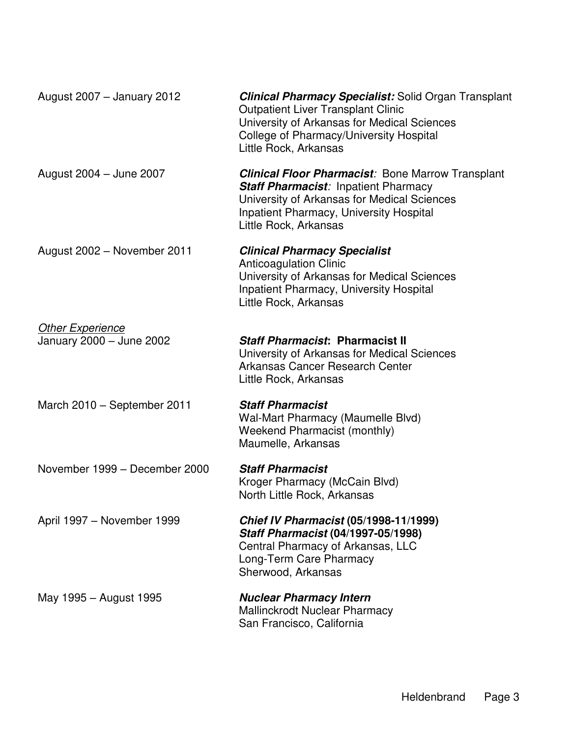| August 2007 - January 2012                          | <b>Clinical Pharmacy Specialist:</b> Solid Organ Transplant<br><b>Outpatient Liver Transplant Clinic</b><br>University of Arkansas for Medical Sciences<br>College of Pharmacy/University Hospital<br>Little Rock, Arkansas       |
|-----------------------------------------------------|-----------------------------------------------------------------------------------------------------------------------------------------------------------------------------------------------------------------------------------|
| August 2004 - June 2007                             | <b>Clinical Floor Pharmacist: Bone Marrow Transplant</b><br><b>Staff Pharmacist: Inpatient Pharmacy</b><br>University of Arkansas for Medical Sciences<br><b>Inpatient Pharmacy, University Hospital</b><br>Little Rock, Arkansas |
| August 2002 - November 2011                         | <b>Clinical Pharmacy Specialist</b><br><b>Anticoagulation Clinic</b><br>University of Arkansas for Medical Sciences<br><b>Inpatient Pharmacy, University Hospital</b><br>Little Rock, Arkansas                                    |
| <b>Other Experience</b><br>January 2000 - June 2002 | <b>Staff Pharmacist: Pharmacist II</b><br>University of Arkansas for Medical Sciences<br>Arkansas Cancer Research Center<br>Little Rock, Arkansas                                                                                 |
| March 2010 - September 2011                         | <b>Staff Pharmacist</b><br>Wal-Mart Pharmacy (Maumelle Blvd)<br>Weekend Pharmacist (monthly)<br>Maumelle, Arkansas                                                                                                                |
| November 1999 - December 2000                       | <b>Staff Pharmacist</b><br>Kroger Pharmacy (McCain Blvd)<br>North Little Rock, Arkansas                                                                                                                                           |
| April 1997 - November 1999                          | Chief IV Pharmacist (05/1998-11/1999)<br>Staff Pharmacist (04/1997-05/1998)<br>Central Pharmacy of Arkansas, LLC<br>Long-Term Care Pharmacy<br>Sherwood, Arkansas                                                                 |
| May 1995 - August 1995                              | <b>Nuclear Pharmacy Intern</b><br>Mallinckrodt Nuclear Pharmacy<br>San Francisco, California                                                                                                                                      |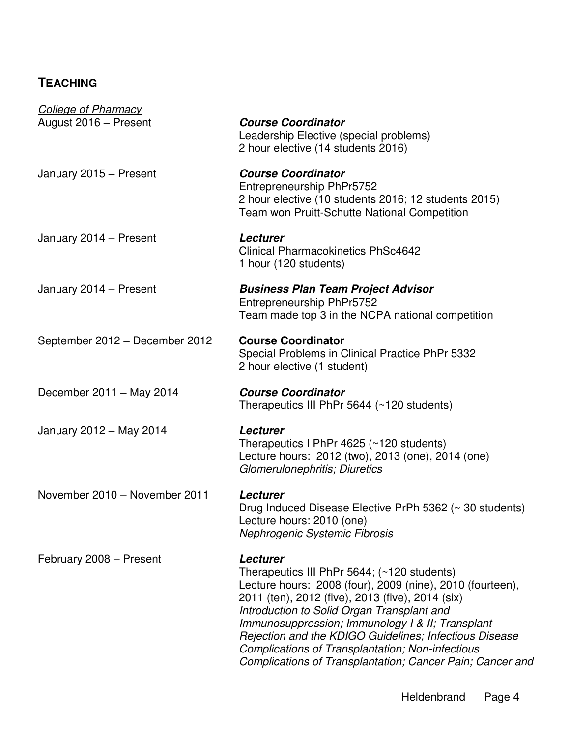# **TEACHING**

| <b>College of Pharmacy</b>     |                                                                                                                                                                                                                                                                                                                                                                                                                                                              |
|--------------------------------|--------------------------------------------------------------------------------------------------------------------------------------------------------------------------------------------------------------------------------------------------------------------------------------------------------------------------------------------------------------------------------------------------------------------------------------------------------------|
| August 2016 - Present          | <b>Course Coordinator</b><br>Leadership Elective (special problems)<br>2 hour elective (14 students 2016)                                                                                                                                                                                                                                                                                                                                                    |
| January 2015 - Present         | <b>Course Coordinator</b><br>Entrepreneurship PhPr5752<br>2 hour elective (10 students 2016; 12 students 2015)<br><b>Team won Pruitt-Schutte National Competition</b>                                                                                                                                                                                                                                                                                        |
| January 2014 - Present         | Lecturer<br><b>Clinical Pharmacokinetics PhSc4642</b><br>1 hour (120 students)                                                                                                                                                                                                                                                                                                                                                                               |
| January 2014 - Present         | <b>Business Plan Team Project Advisor</b><br>Entrepreneurship PhPr5752<br>Team made top 3 in the NCPA national competition                                                                                                                                                                                                                                                                                                                                   |
| September 2012 - December 2012 | <b>Course Coordinator</b><br>Special Problems in Clinical Practice PhPr 5332<br>2 hour elective (1 student)                                                                                                                                                                                                                                                                                                                                                  |
| December 2011 - May 2014       | <b>Course Coordinator</b><br>Therapeutics III PhPr 5644 (~120 students)                                                                                                                                                                                                                                                                                                                                                                                      |
| January 2012 - May 2014        | Lecturer<br>Therapeutics I PhPr 4625 (~120 students)<br>Lecture hours: 2012 (two), 2013 (one), 2014 (one)<br>Glomerulonephritis; Diuretics                                                                                                                                                                                                                                                                                                                   |
| November 2010 - November 2011  | Lecturer<br>Drug Induced Disease Elective PrPh 5362 (~ 30 students)<br>Lecture hours: 2010 (one)<br>Nephrogenic Systemic Fibrosis                                                                                                                                                                                                                                                                                                                            |
| February 2008 - Present        | Lecturer<br>Therapeutics III PhPr 5644; (~120 students)<br>Lecture hours: 2008 (four), 2009 (nine), 2010 (fourteen),<br>2011 (ten), 2012 (five), 2013 (five), 2014 (six)<br>Introduction to Solid Organ Transplant and<br>Immunosuppression; Immunology I & II; Transplant<br>Rejection and the KDIGO Guidelines; Infectious Disease<br><b>Complications of Transplantation; Non-infectious</b><br>Complications of Transplantation; Cancer Pain; Cancer and |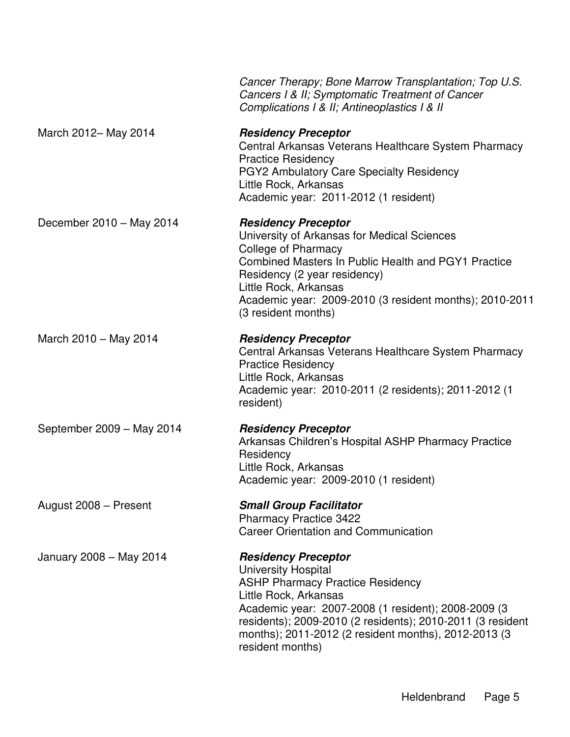|                           | Cancer Therapy; Bone Marrow Transplantation; Top U.S.<br>Cancers I & II; Symptomatic Treatment of Cancer<br>Complications I & II; Antineoplastics I & II                                                                                                                                                                      |
|---------------------------|-------------------------------------------------------------------------------------------------------------------------------------------------------------------------------------------------------------------------------------------------------------------------------------------------------------------------------|
| March 2012- May 2014      | <b>Residency Preceptor</b><br>Central Arkansas Veterans Healthcare System Pharmacy<br><b>Practice Residency</b><br>PGY2 Ambulatory Care Specialty Residency<br>Little Rock, Arkansas<br>Academic year: 2011-2012 (1 resident)                                                                                                 |
| December 2010 - May 2014  | <b>Residency Preceptor</b><br>University of Arkansas for Medical Sciences<br>College of Pharmacy<br>Combined Masters In Public Health and PGY1 Practice<br>Residency (2 year residency)<br>Little Rock, Arkansas<br>Academic year: 2009-2010 (3 resident months); 2010-2011<br>(3 resident months)                            |
| March 2010 - May 2014     | <b>Residency Preceptor</b><br>Central Arkansas Veterans Healthcare System Pharmacy<br><b>Practice Residency</b><br>Little Rock, Arkansas<br>Academic year: 2010-2011 (2 residents); 2011-2012 (1<br>resident)                                                                                                                 |
| September 2009 - May 2014 | <b>Residency Preceptor</b><br>Arkansas Children's Hospital ASHP Pharmacy Practice<br>Residency<br>Little Rock, Arkansas<br>Academic year: 2009-2010 (1 resident)                                                                                                                                                              |
| August 2008 - Present     | <b>Small Group Facilitator</b><br><b>Pharmacy Practice 3422</b><br><b>Career Orientation and Communication</b>                                                                                                                                                                                                                |
| January 2008 - May 2014   | <b>Residency Preceptor</b><br><b>University Hospital</b><br><b>ASHP Pharmacy Practice Residency</b><br>Little Rock, Arkansas<br>Academic year: 2007-2008 (1 resident); 2008-2009 (3<br>residents); 2009-2010 (2 residents); 2010-2011 (3 resident<br>months); 2011-2012 (2 resident months), 2012-2013 (3<br>resident months) |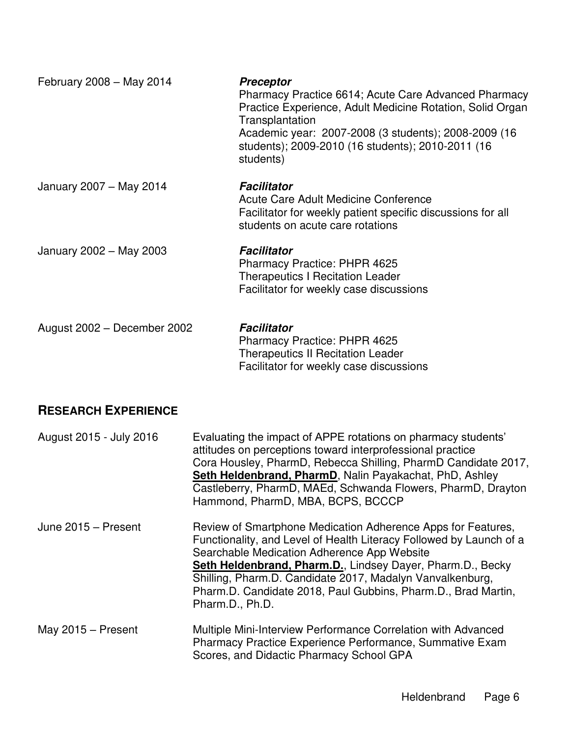| February 2008 - May 2014    | <b>Preceptor</b><br>Pharmacy Practice 6614; Acute Care Advanced Pharmacy<br>Practice Experience, Adult Medicine Rotation, Solid Organ<br>Transplantation<br>Academic year: 2007-2008 (3 students); 2008-2009 (16<br>students); 2009-2010 (16 students); 2010-2011 (16<br>students) |
|-----------------------------|------------------------------------------------------------------------------------------------------------------------------------------------------------------------------------------------------------------------------------------------------------------------------------|
| January 2007 - May 2014     | <b>Facilitator</b><br>Acute Care Adult Medicine Conference<br>Facilitator for weekly patient specific discussions for all<br>students on acute care rotations                                                                                                                      |
| January 2002 - May 2003     | <b>Facilitator</b><br>Pharmacy Practice: PHPR 4625<br><b>Therapeutics I Recitation Leader</b><br>Facilitator for weekly case discussions                                                                                                                                           |
| August 2002 - December 2002 | Facilitator<br><b>Pharmacy Practice: PHPR 4625</b><br><b>Therapeutics II Recitation Leader</b><br>Facilitator for weekly case discussions                                                                                                                                          |

## **RESEARCH EXPERIENCE**

| August 2015 - July 2016 | Evaluating the impact of APPE rotations on pharmacy students'<br>attitudes on perceptions toward interprofessional practice<br>Cora Housley, PharmD, Rebecca Shilling, PharmD Candidate 2017,<br>Seth Heldenbrand, PharmD, Nalin Payakachat, PhD, Ashley<br>Castleberry, PharmD, MAEd, Schwanda Flowers, PharmD, Drayton<br>Hammond, PharmD, MBA, BCPS, BCCCP                                     |
|-------------------------|---------------------------------------------------------------------------------------------------------------------------------------------------------------------------------------------------------------------------------------------------------------------------------------------------------------------------------------------------------------------------------------------------|
| June 2015 - Present     | Review of Smartphone Medication Adherence Apps for Features,<br>Functionality, and Level of Health Literacy Followed by Launch of a<br>Searchable Medication Adherence App Website<br>Seth Heldenbrand, Pharm.D., Lindsey Dayer, Pharm.D., Becky<br>Shilling, Pharm.D. Candidate 2017, Madalyn Vanvalkenburg,<br>Pharm.D. Candidate 2018, Paul Gubbins, Pharm.D., Brad Martin,<br>Pharm.D., Ph.D. |
| May 2015 - Present      | Multiple Mini-Interview Performance Correlation with Advanced<br>Pharmacy Practice Experience Performance, Summative Exam<br>Scores, and Didactic Pharmacy School GPA                                                                                                                                                                                                                             |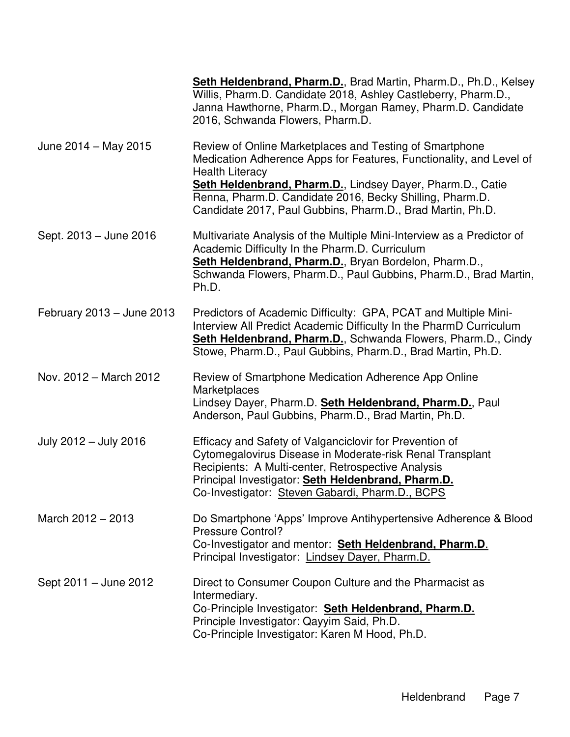|                           | Seth Heldenbrand, Pharm.D., Brad Martin, Pharm.D., Ph.D., Kelsey<br>Willis, Pharm.D. Candidate 2018, Ashley Castleberry, Pharm.D.,<br>Janna Hawthorne, Pharm.D., Morgan Ramey, Pharm.D. Candidate<br>2016, Schwanda Flowers, Pharm.D.                                                                                                            |
|---------------------------|--------------------------------------------------------------------------------------------------------------------------------------------------------------------------------------------------------------------------------------------------------------------------------------------------------------------------------------------------|
| June 2014 – May 2015      | Review of Online Marketplaces and Testing of Smartphone<br>Medication Adherence Apps for Features, Functionality, and Level of<br><b>Health Literacy</b><br>Seth Heldenbrand, Pharm.D., Lindsey Dayer, Pharm.D., Catie<br>Renna, Pharm.D. Candidate 2016, Becky Shilling, Pharm.D.<br>Candidate 2017, Paul Gubbins, Pharm.D., Brad Martin, Ph.D. |
| Sept. 2013 – June 2016    | Multivariate Analysis of the Multiple Mini-Interview as a Predictor of<br>Academic Difficulty In the Pharm.D. Curriculum<br>Seth Heldenbrand, Pharm.D., Bryan Bordelon, Pharm.D.,<br>Schwanda Flowers, Pharm.D., Paul Gubbins, Pharm.D., Brad Martin,<br>Ph.D.                                                                                   |
| February 2013 - June 2013 | Predictors of Academic Difficulty: GPA, PCAT and Multiple Mini-<br>Interview All Predict Academic Difficulty In the PharmD Curriculum<br>Seth Heldenbrand, Pharm.D., Schwanda Flowers, Pharm.D., Cindy<br>Stowe, Pharm.D., Paul Gubbins, Pharm.D., Brad Martin, Ph.D.                                                                            |
| Nov. 2012 - March 2012    | Review of Smartphone Medication Adherence App Online<br>Marketplaces<br>Lindsey Dayer, Pharm.D. Seth Heldenbrand, Pharm.D., Paul<br>Anderson, Paul Gubbins, Pharm.D., Brad Martin, Ph.D.                                                                                                                                                         |
| July 2012 - July 2016     | Efficacy and Safety of Valganciclovir for Prevention of<br>Cytomegalovirus Disease in Moderate-risk Renal Transplant<br>Recipients: A Multi-center, Retrospective Analysis<br>Principal Investigator: Seth Heldenbrand, Pharm.D.<br>Co-Investigator: Steven Gabardi, Pharm.D., BCPS                                                              |
| March 2012 - 2013         | Do Smartphone 'Apps' Improve Antihypertensive Adherence & Blood<br><b>Pressure Control?</b><br>Co-Investigator and mentor: Seth Heldenbrand, Pharm.D.<br>Principal Investigator: Lindsey Dayer, Pharm.D.                                                                                                                                         |
| Sept 2011 - June 2012     | Direct to Consumer Coupon Culture and the Pharmacist as<br>Intermediary.<br>Co-Principle Investigator: Seth Heldenbrand, Pharm.D.<br>Principle Investigator: Qayyim Said, Ph.D.<br>Co-Principle Investigator: Karen M Hood, Ph.D.                                                                                                                |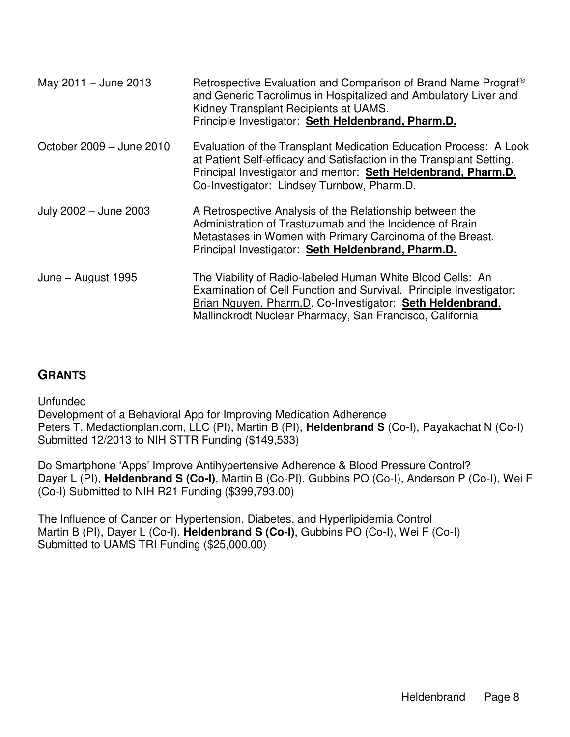| May 2011 - June 2013     | Retrospective Evaluation and Comparison of Brand Name Prograf <sup>®</sup><br>and Generic Tacrolimus in Hospitalized and Ambulatory Liver and<br>Kidney Transplant Recipients at UAMS.<br>Principle Investigator: Seth Heldenbrand, Pharm.D.              |
|--------------------------|-----------------------------------------------------------------------------------------------------------------------------------------------------------------------------------------------------------------------------------------------------------|
| October 2009 – June 2010 | Evaluation of the Transplant Medication Education Process: A Look<br>at Patient Self-efficacy and Satisfaction in the Transplant Setting.<br>Principal Investigator and mentor: Seth Heldenbrand, Pharm.D.<br>Co-Investigator: Lindsey Turnbow, Pharm.D.  |
| July 2002 - June 2003    | A Retrospective Analysis of the Relationship between the<br>Administration of Trastuzumab and the Incidence of Brain<br>Metastases in Women with Primary Carcinoma of the Breast.<br>Principal Investigator: Seth Heldenbrand, Pharm.D.                   |
| June – August 1995       | The Viability of Radio-labeled Human White Blood Cells: An<br>Examination of Cell Function and Survival. Principle Investigator:<br>Brian Nguyen, Pharm.D. Co-Investigator: Seth Heldenbrand.<br>Mallinckrodt Nuclear Pharmacy, San Francisco, California |

## **GRANTS**

**Unfunded** 

Development of a Behavioral App for Improving Medication Adherence Peters T, Medactionplan.com, LLC (PI), Martin B (PI), Heldenbrand S (Co-I), Payakachat N (Co-I) Submitted 12/2013 to NIH STTR Funding (\$149,533)

Do Smartphone 'Apps' Improve Antihypertensive Adherence & Blood Pressure Control? Dayer L (PI), **Heldenbrand S (Co-I)**, Martin B (Co-PI), Gubbins PO (Co-I), Anderson P (Co-I), Wei F (Co-I) Submitted to NIH R21 Funding (\$399,793.00)

The Influence of Cancer on Hypertension, Diabetes, and Hyperlipidemia Control Martin B (PI), Dayer L (Co-I), **Heldenbrand S (Co-I)**, Gubbins PO (Co-I), Wei F (Co-I) Submitted to UAMS TRI Funding (\$25,000.00)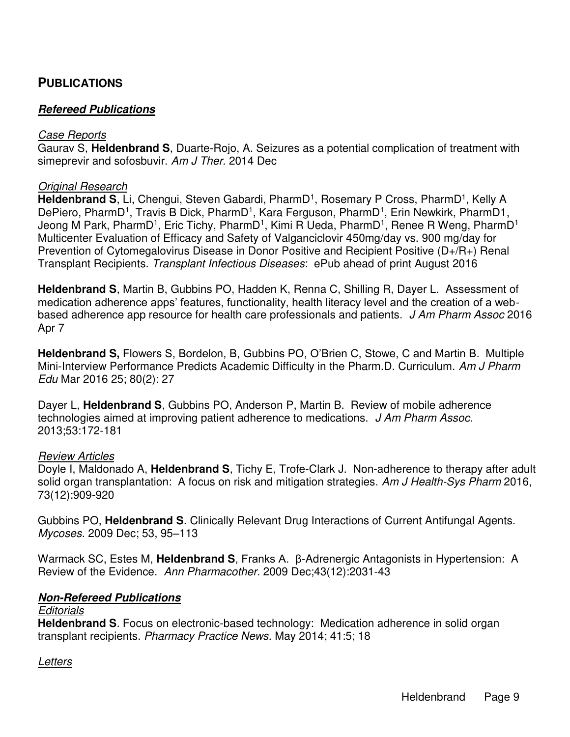### **PUBLICATIONS**

#### **Refereed Publications**

#### *Case Reports*

Gaurav S, **Heldenbrand S**, Duarte-Rojo, A. Seizures as a potential complication of treatment with simeprevir and sofosbuvir. *Am J Ther.* 2014 Dec

#### *Original Research*

Heldenbrand S, Li, Chengui, Steven Gabardi, PharmD<sup>1</sup>, Rosemary P Cross, PharmD<sup>1</sup>, Kelly A DePiero, PharmD<sup>1</sup>, Travis B Dick, PharmD<sup>1</sup>, Kara Ferguson, PharmD<sup>1</sup>, Erin Newkirk, PharmD1, Jeong M Park, PharmD<sup>1</sup>, Eric Tichy, PharmD<sup>1</sup>, Kimi R Ueda, PharmD<sup>1</sup>, Renee R Weng, PharmD<sup>1</sup> Multicenter Evaluation of Efficacy and Safety of Valganciclovir 450mg/day vs. 900 mg/day for Prevention of Cytomegalovirus Disease in Donor Positive and Recipient Positive (D+/R+) Renal Transplant Recipients. *Transplant Infectious Diseases*: ePub ahead of print August 2016

**Heldenbrand S**, Martin B, Gubbins PO, Hadden K, Renna C, Shilling R, Dayer L. Assessment of medication adherence apps' features, functionality, health literacy level and the creation of a webbased adherence app resource for health care professionals and patients. *J Am Pharm Assoc* 2016 Apr 7

**Heldenbrand S,** Flowers S, Bordelon, B, Gubbins PO, O'Brien C, Stowe, C and Martin B. Multiple Mini-Interview Performance Predicts Academic Difficulty in the Pharm.D. Curriculum. *Am J Pharm Edu* Mar 2016 25; 80(2): 27

Dayer L, **Heldenbrand S**, Gubbins PO, Anderson P, Martin B. Review of mobile adherence technologies aimed at improving patient adherence to medications. *J Am Pharm Assoc.* 2013;53:172-181

#### *Review Articles*

Doyle I, Maldonado A, **Heldenbrand S**, Tichy E, Trofe-Clark J. Non-adherence to therapy after adult solid organ transplantation: A focus on risk and mitigation strategies. *Am J Health-Sys Pharm* 2016, 73(12):909-920

Gubbins PO, **Heldenbrand S**. Clinically Relevant Drug Interactions of Current Antifungal Agents. *Mycoses.* 2009 Dec; 53, 95–113

Warmack SC, Estes M, **Heldenbrand S**, Franks A. β-Adrenergic Antagonists in Hypertension: A Review of the Evidence. *Ann Pharmacother.* 2009 Dec;43(12):2031-43

#### **Non-Refereed Publications**

#### *Editorials*

**Heldenbrand S**. Focus on electronic-based technology: Medication adherence in solid organ transplant recipients. *Pharmacy Practice News.* May 2014; 41:5; 18

#### *Letters*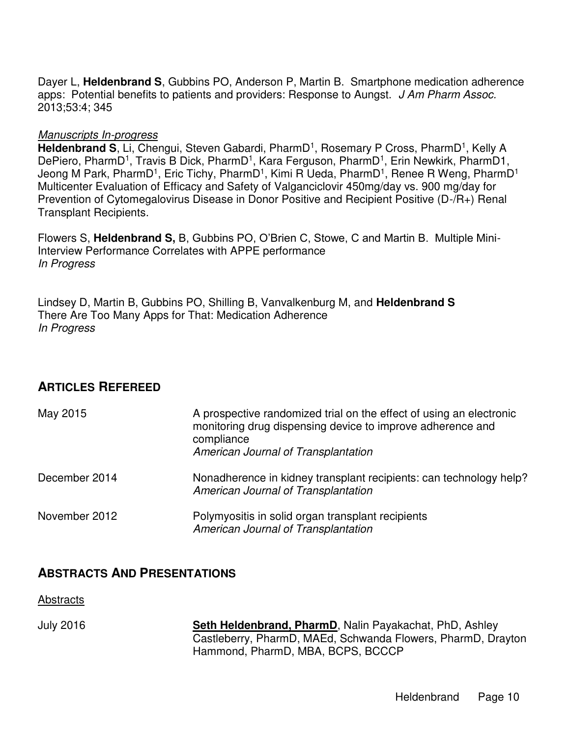Dayer L, **Heldenbrand S**, Gubbins PO, Anderson P, Martin B. Smartphone medication adherence apps: Potential benefits to patients and providers: Response to Aungst. *J Am Pharm Assoc.* 2013;53:4; 345

#### *Manuscripts In-progress*

Heldenbrand S, Li, Chengui, Steven Gabardi, PharmD<sup>1</sup>, Rosemary P Cross, PharmD<sup>1</sup>, Kelly A DePiero, PharmD<sup>1</sup>, Travis B Dick, PharmD<sup>1</sup>, Kara Ferguson, PharmD<sup>1</sup>, Erin Newkirk, PharmD1, Jeong M Park, PharmD<sup>1</sup>, Eric Tichy, PharmD<sup>1</sup>, Kimi R Ueda, PharmD<sup>1</sup>, Renee R Weng, PharmD<sup>1</sup> Multicenter Evaluation of Efficacy and Safety of Valganciclovir 450mg/day vs. 900 mg/day for Prevention of Cytomegalovirus Disease in Donor Positive and Recipient Positive (D-/R+) Renal Transplant Recipients.

Flowers S, **Heldenbrand S,** B, Gubbins PO, O'Brien C, Stowe, C and Martin B. Multiple Mini-Interview Performance Correlates with APPE performance *In Progress* 

Lindsey D, Martin B, Gubbins PO, Shilling B, Vanvalkenburg M, and **Heldenbrand S** There Are Too Many Apps for That: Medication Adherence *In Progress* 

## **ARTICLES REFEREED**

| May 2015      | A prospective randomized trial on the effect of using an electronic<br>monitoring drug dispensing device to improve adherence and<br>compliance<br>American Journal of Transplantation |
|---------------|----------------------------------------------------------------------------------------------------------------------------------------------------------------------------------------|
| December 2014 | Nonadherence in kidney transplant recipients: can technology help?<br>American Journal of Transplantation                                                                              |
| November 2012 | Polymyositis in solid organ transplant recipients<br>American Journal of Transplantation                                                                                               |

### **ABSTRACTS AND PRESENTATIONS**

Abstracts

July 2016 **Seth Heldenbrand, PharmD**, Nalin Payakachat, PhD, Ashley Castleberry, PharmD, MAEd, Schwanda Flowers, PharmD, Drayton Hammond, PharmD, MBA, BCPS, BCCCP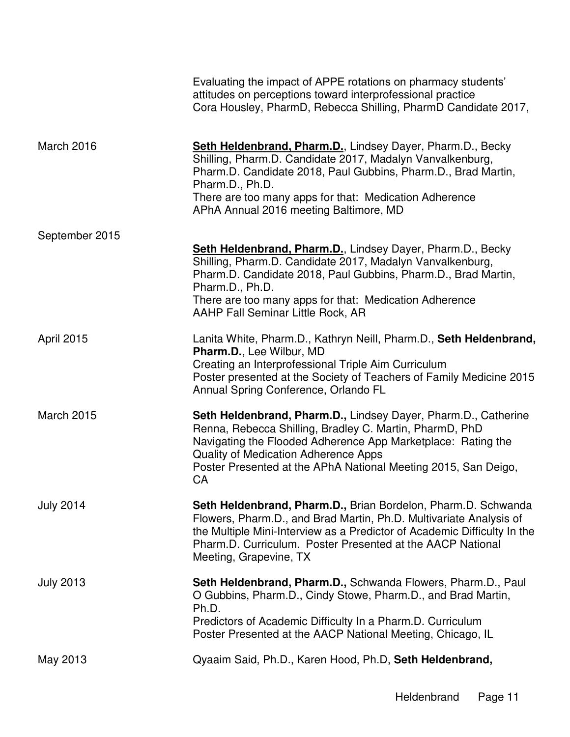|                   | Evaluating the impact of APPE rotations on pharmacy students'<br>attitudes on perceptions toward interprofessional practice<br>Cora Housley, PharmD, Rebecca Shilling, PharmD Candidate 2017,                                                                                                                          |
|-------------------|------------------------------------------------------------------------------------------------------------------------------------------------------------------------------------------------------------------------------------------------------------------------------------------------------------------------|
| March 2016        | <b>Seth Heldenbrand, Pharm.D., Lindsey Dayer, Pharm.D., Becky</b><br>Shilling, Pharm.D. Candidate 2017, Madalyn Vanvalkenburg,<br>Pharm.D. Candidate 2018, Paul Gubbins, Pharm.D., Brad Martin,<br>Pharm.D., Ph.D.<br>There are too many apps for that: Medication Adherence<br>APhA Annual 2016 meeting Baltimore, MD |
| September 2015    | <b>Seth Heldenbrand, Pharm.D., Lindsey Dayer, Pharm.D., Becky</b>                                                                                                                                                                                                                                                      |
|                   | Shilling, Pharm.D. Candidate 2017, Madalyn Vanvalkenburg,<br>Pharm.D. Candidate 2018, Paul Gubbins, Pharm.D., Brad Martin,<br>Pharm.D., Ph.D.                                                                                                                                                                          |
|                   | There are too many apps for that: Medication Adherence<br>AAHP Fall Seminar Little Rock, AR                                                                                                                                                                                                                            |
| April 2015        | Lanita White, Pharm.D., Kathryn Neill, Pharm.D., Seth Heldenbrand,<br>Pharm.D., Lee Wilbur, MD<br>Creating an Interprofessional Triple Aim Curriculum<br>Poster presented at the Society of Teachers of Family Medicine 2015<br>Annual Spring Conference, Orlando FL                                                   |
| <b>March 2015</b> | Seth Heldenbrand, Pharm.D., Lindsey Dayer, Pharm.D., Catherine<br>Renna, Rebecca Shilling, Bradley C. Martin, PharmD, PhD<br>Navigating the Flooded Adherence App Marketplace: Rating the<br>Quality of Medication Adherence Apps<br>Poster Presented at the APhA National Meeting 2015, San Deigo,<br>CA              |
| <b>July 2014</b>  | Seth Heldenbrand, Pharm.D., Brian Bordelon, Pharm.D. Schwanda<br>Flowers, Pharm.D., and Brad Martin, Ph.D. Multivariate Analysis of<br>the Multiple Mini-Interview as a Predictor of Academic Difficulty In the<br>Pharm.D. Curriculum. Poster Presented at the AACP National<br>Meeting, Grapevine, TX                |
| <b>July 2013</b>  | Seth Heldenbrand, Pharm.D., Schwanda Flowers, Pharm.D., Paul<br>O Gubbins, Pharm.D., Cindy Stowe, Pharm.D., and Brad Martin,<br>Ph.D.                                                                                                                                                                                  |
|                   | Predictors of Academic Difficulty In a Pharm.D. Curriculum<br>Poster Presented at the AACP National Meeting, Chicago, IL                                                                                                                                                                                               |
| May 2013          | Qyaaim Said, Ph.D., Karen Hood, Ph.D, Seth Heldenbrand,                                                                                                                                                                                                                                                                |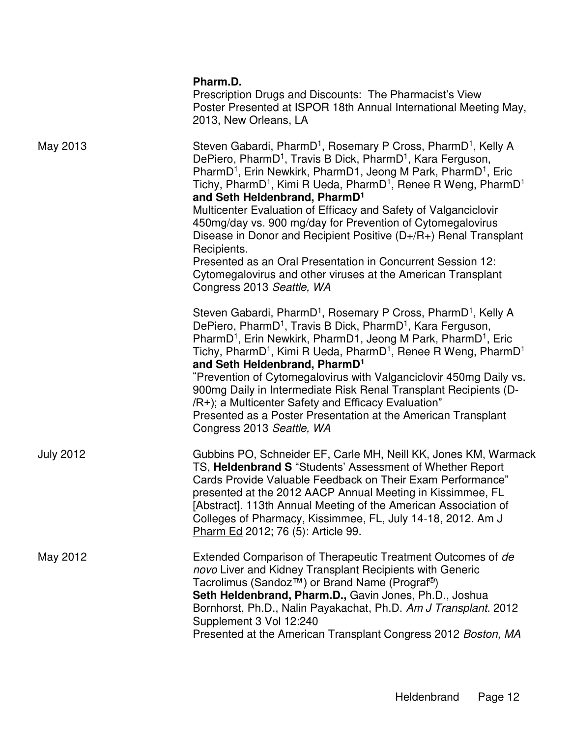|                  | Pharm.D.<br>Prescription Drugs and Discounts: The Pharmacist's View<br>Poster Presented at ISPOR 18th Annual International Meeting May,<br>2013, New Orleans, LA                                                                                                                                                                                                                                                                                                                                                                                                                                                                                                                                                                                                                                       |
|------------------|--------------------------------------------------------------------------------------------------------------------------------------------------------------------------------------------------------------------------------------------------------------------------------------------------------------------------------------------------------------------------------------------------------------------------------------------------------------------------------------------------------------------------------------------------------------------------------------------------------------------------------------------------------------------------------------------------------------------------------------------------------------------------------------------------------|
| May 2013         | Steven Gabardi, PharmD <sup>1</sup> , Rosemary P Cross, PharmD <sup>1</sup> , Kelly A<br>DePiero, PharmD <sup>1</sup> , Travis B Dick, PharmD <sup>1</sup> , Kara Ferguson,<br>PharmD <sup>1</sup> , Erin Newkirk, PharmD1, Jeong M Park, PharmD <sup>1</sup> , Eric<br>Tichy, PharmD <sup>1</sup> , Kimi R Ueda, PharmD <sup>1</sup> , Renee R Weng, PharmD <sup>1</sup><br>and Seth Heldenbrand, PharmD <sup>1</sup><br>Multicenter Evaluation of Efficacy and Safety of Valganciclovir<br>450mg/day vs. 900 mg/day for Prevention of Cytomegalovirus<br>Disease in Donor and Recipient Positive (D+/R+) Renal Transplant<br>Recipients.<br>Presented as an Oral Presentation in Concurrent Session 12:<br>Cytomegalovirus and other viruses at the American Transplant<br>Congress 2013 Seattle, WA |
|                  | Steven Gabardi, PharmD <sup>1</sup> , Rosemary P Cross, PharmD <sup>1</sup> , Kelly A<br>DePiero, PharmD <sup>1</sup> , Travis B Dick, PharmD <sup>1</sup> , Kara Ferguson,<br>PharmD <sup>1</sup> , Erin Newkirk, PharmD1, Jeong M Park, PharmD <sup>1</sup> , Eric<br>Tichy, PharmD <sup>1</sup> , Kimi R Ueda, PharmD <sup>1</sup> , Renee R Weng, PharmD <sup>1</sup><br>and Seth Heldenbrand, PharmD <sup>1</sup><br>"Prevention of Cytomegalovirus with Valganciclovir 450mg Daily vs.<br>900mg Daily in Intermediate Risk Renal Transplant Recipients (D-<br>/R+); a Multicenter Safety and Efficacy Evaluation"<br>Presented as a Poster Presentation at the American Transplant<br>Congress 2013 Seattle, WA                                                                                  |
| <b>July 2012</b> | Gubbins PO, Schneider EF, Carle MH, Neill KK, Jones KM, Warmack<br>TS, Heldenbrand S "Students' Assessment of Whether Report<br>Cards Provide Valuable Feedback on Their Exam Performance"<br>presented at the 2012 AACP Annual Meeting in Kissimmee, FL<br>[Abstract]. 113th Annual Meeting of the American Association of<br>Colleges of Pharmacy, Kissimmee, FL, July 14-18, 2012. Am J<br>Pharm Ed 2012; 76 (5): Article 99.                                                                                                                                                                                                                                                                                                                                                                       |
| May 2012         | Extended Comparison of Therapeutic Treatment Outcomes of de<br>novo Liver and Kidney Transplant Recipients with Generic<br>Tacrolimus (Sandoz™) or Brand Name (Prograf <sup>®</sup> )<br>Seth Heldenbrand, Pharm.D., Gavin Jones, Ph.D., Joshua<br>Bornhorst, Ph.D., Nalin Payakachat, Ph.D. Am J Transplant. 2012<br>Supplement 3 Vol 12:240<br>Presented at the American Transplant Congress 2012 Boston, MA                                                                                                                                                                                                                                                                                                                                                                                         |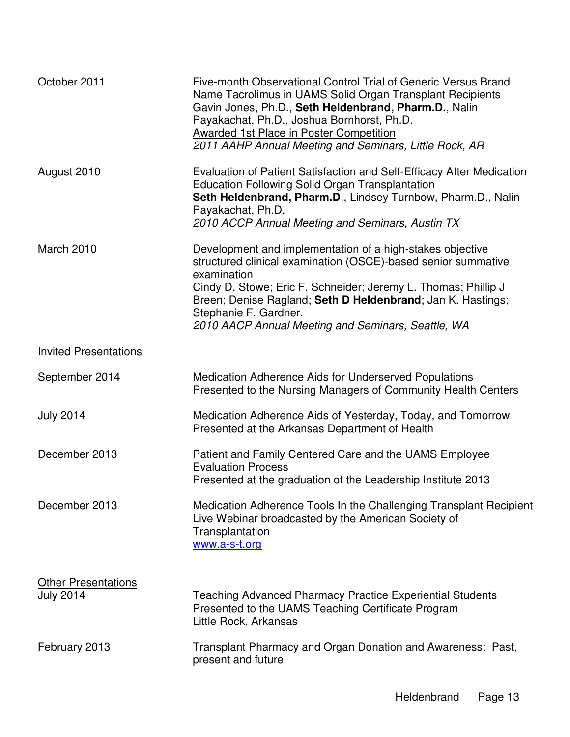| October 2011                                   | Five-month Observational Control Trial of Generic Versus Brand<br>Name Tacrolimus in UAMS Solid Organ Transplant Recipients<br>Gavin Jones, Ph.D., Seth Heldenbrand, Pharm.D., Nalin<br>Payakachat, Ph.D., Joshua Bornhorst, Ph.D.<br><b>Awarded 1st Place in Poster Competition</b><br>2011 AAHP Annual Meeting and Seminars, Little Rock, AR            |
|------------------------------------------------|-----------------------------------------------------------------------------------------------------------------------------------------------------------------------------------------------------------------------------------------------------------------------------------------------------------------------------------------------------------|
| August 2010                                    | Evaluation of Patient Satisfaction and Self-Efficacy After Medication<br><b>Education Following Solid Organ Transplantation</b><br>Seth Heldenbrand, Pharm.D., Lindsey Turnbow, Pharm.D., Nalin<br>Payakachat, Ph.D.<br>2010 ACCP Annual Meeting and Seminars, Austin TX                                                                                  |
| March 2010                                     | Development and implementation of a high-stakes objective<br>structured clinical examination (OSCE)-based senior summative<br>examination<br>Cindy D. Stowe; Eric F. Schneider; Jeremy L. Thomas; Phillip J<br>Breen; Denise Ragland; Seth D Heldenbrand; Jan K. Hastings;<br>Stephanie F. Gardner.<br>2010 AACP Annual Meeting and Seminars, Seattle, WA |
| <b>Invited Presentations</b>                   |                                                                                                                                                                                                                                                                                                                                                           |
| September 2014                                 | <b>Medication Adherence Aids for Underserved Populations</b><br>Presented to the Nursing Managers of Community Health Centers                                                                                                                                                                                                                             |
| <b>July 2014</b>                               | Medication Adherence Aids of Yesterday, Today, and Tomorrow<br>Presented at the Arkansas Department of Health                                                                                                                                                                                                                                             |
| December 2013                                  | Patient and Family Centered Care and the UAMS Employee<br><b>Evaluation Process</b><br>Presented at the graduation of the Leadership Institute 2013                                                                                                                                                                                                       |
| December 2013                                  | Medication Adherence Tools In the Challenging Transplant Recipient<br>Live Webinar broadcasted by the American Society of<br>Transplantation<br>www.a-s-t.org                                                                                                                                                                                             |
| <b>Other Presentations</b><br><b>July 2014</b> | Teaching Advanced Pharmacy Practice Experiential Students<br>Presented to the UAMS Teaching Certificate Program<br>Little Rock, Arkansas                                                                                                                                                                                                                  |
| February 2013                                  | Transplant Pharmacy and Organ Donation and Awareness: Past,<br>present and future                                                                                                                                                                                                                                                                         |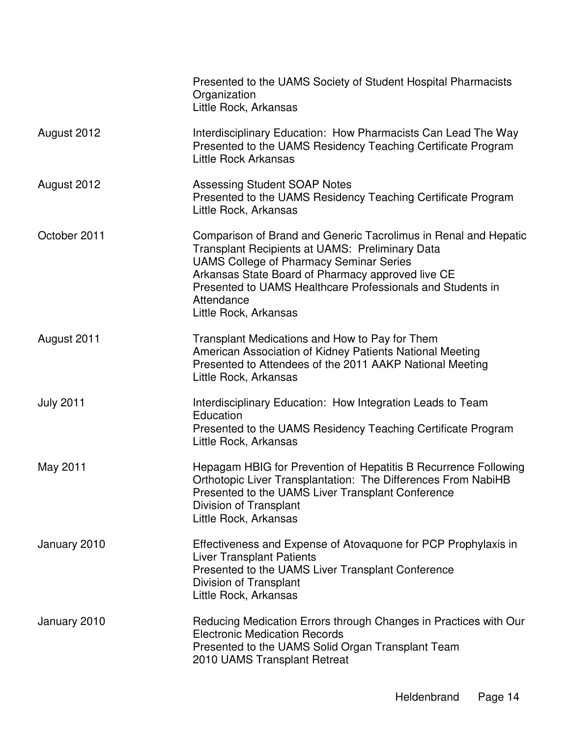|                  | Presented to the UAMS Society of Student Hospital Pharmacists<br>Organization<br>Little Rock, Arkansas                                                                                                                                                                                                                         |
|------------------|--------------------------------------------------------------------------------------------------------------------------------------------------------------------------------------------------------------------------------------------------------------------------------------------------------------------------------|
| August 2012      | Interdisciplinary Education: How Pharmacists Can Lead The Way<br>Presented to the UAMS Residency Teaching Certificate Program<br>Little Rock Arkansas                                                                                                                                                                          |
| August 2012      | <b>Assessing Student SOAP Notes</b><br>Presented to the UAMS Residency Teaching Certificate Program<br>Little Rock, Arkansas                                                                                                                                                                                                   |
| October 2011     | Comparison of Brand and Generic Tacrolimus in Renal and Hepatic<br>Transplant Recipients at UAMS: Preliminary Data<br><b>UAMS College of Pharmacy Seminar Series</b><br>Arkansas State Board of Pharmacy approved live CE<br>Presented to UAMS Healthcare Professionals and Students in<br>Attendance<br>Little Rock, Arkansas |
| August 2011      | Transplant Medications and How to Pay for Them<br>American Association of Kidney Patients National Meeting<br>Presented to Attendees of the 2011 AAKP National Meeting<br>Little Rock, Arkansas                                                                                                                                |
| <b>July 2011</b> | Interdisciplinary Education: How Integration Leads to Team<br>Education<br>Presented to the UAMS Residency Teaching Certificate Program<br>Little Rock, Arkansas                                                                                                                                                               |
| May 2011         | Hepagam HBIG for Prevention of Hepatitis B Recurrence Following<br>Orthotopic Liver Transplantation: The Differences From NabiHB<br>Presented to the UAMS Liver Transplant Conference<br>Division of Transplant<br>Little Rock, Arkansas                                                                                       |
| January 2010     | Effectiveness and Expense of Atovaquone for PCP Prophylaxis in<br><b>Liver Transplant Patients</b><br>Presented to the UAMS Liver Transplant Conference<br>Division of Transplant<br>Little Rock, Arkansas                                                                                                                     |
| January 2010     | Reducing Medication Errors through Changes in Practices with Our<br><b>Electronic Medication Records</b><br>Presented to the UAMS Solid Organ Transplant Team<br>2010 UAMS Transplant Retreat                                                                                                                                  |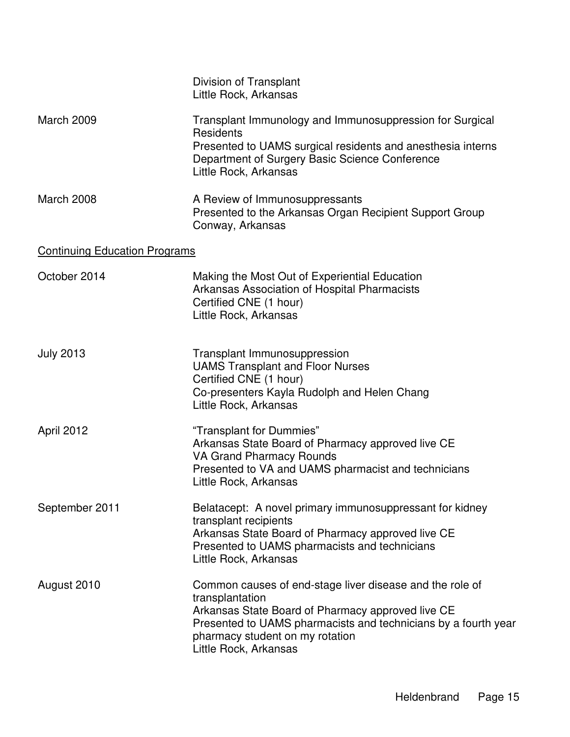|                                      | Division of Transplant<br>Little Rock, Arkansas                                                                                                                                                                                                                |
|--------------------------------------|----------------------------------------------------------------------------------------------------------------------------------------------------------------------------------------------------------------------------------------------------------------|
| <b>March 2009</b>                    | Transplant Immunology and Immunosuppression for Surgical<br>Residents<br>Presented to UAMS surgical residents and anesthesia interns<br>Department of Surgery Basic Science Conference<br>Little Rock, Arkansas                                                |
| March 2008                           | A Review of Immunosuppressants<br>Presented to the Arkansas Organ Recipient Support Group<br>Conway, Arkansas                                                                                                                                                  |
| <b>Continuing Education Programs</b> |                                                                                                                                                                                                                                                                |
| October 2014                         | Making the Most Out of Experiential Education<br>Arkansas Association of Hospital Pharmacists<br>Certified CNE (1 hour)<br>Little Rock, Arkansas                                                                                                               |
| <b>July 2013</b>                     | Transplant Immunosuppression<br><b>UAMS Transplant and Floor Nurses</b><br>Certified CNE (1 hour)<br>Co-presenters Kayla Rudolph and Helen Chang<br>Little Rock, Arkansas                                                                                      |
| April 2012                           | "Transplant for Dummies"<br>Arkansas State Board of Pharmacy approved live CE<br><b>VA Grand Pharmacy Rounds</b><br>Presented to VA and UAMS pharmacist and technicians<br>Little Rock, Arkansas                                                               |
| September 2011                       | Belatacept: A novel primary immunosuppressant for kidney<br>transplant recipients<br>Arkansas State Board of Pharmacy approved live CE<br>Presented to UAMS pharmacists and technicians<br>Little Rock, Arkansas                                               |
| August 2010                          | Common causes of end-stage liver disease and the role of<br>transplantation<br>Arkansas State Board of Pharmacy approved live CE<br>Presented to UAMS pharmacists and technicians by a fourth year<br>pharmacy student on my rotation<br>Little Rock, Arkansas |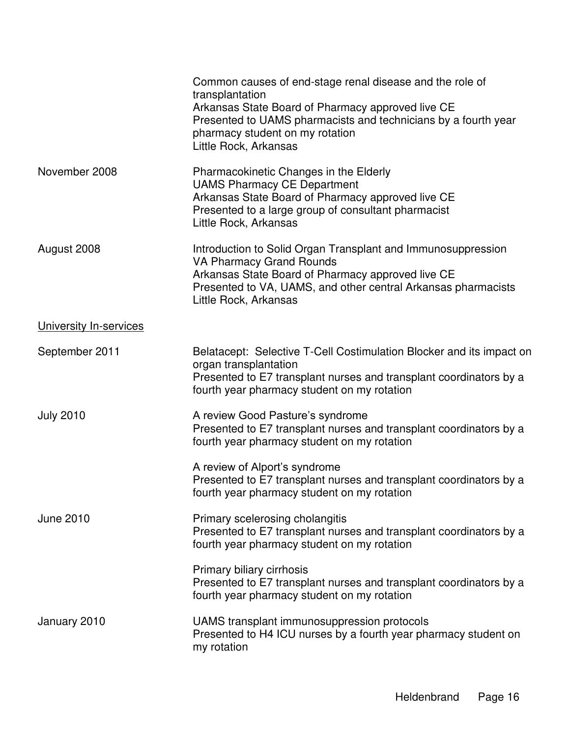|                        | Common causes of end-stage renal disease and the role of<br>transplantation<br>Arkansas State Board of Pharmacy approved live CE<br>Presented to UAMS pharmacists and technicians by a fourth year<br>pharmacy student on my rotation<br>Little Rock, Arkansas |
|------------------------|----------------------------------------------------------------------------------------------------------------------------------------------------------------------------------------------------------------------------------------------------------------|
| November 2008          | Pharmacokinetic Changes in the Elderly<br><b>UAMS Pharmacy CE Department</b><br>Arkansas State Board of Pharmacy approved live CE<br>Presented to a large group of consultant pharmacist<br>Little Rock, Arkansas                                              |
| August 2008            | Introduction to Solid Organ Transplant and Immunosuppression<br><b>VA Pharmacy Grand Rounds</b><br>Arkansas State Board of Pharmacy approved live CE<br>Presented to VA, UAMS, and other central Arkansas pharmacists<br>Little Rock, Arkansas                 |
| University In-services |                                                                                                                                                                                                                                                                |
| September 2011         | Belatacept: Selective T-Cell Costimulation Blocker and its impact on<br>organ transplantation<br>Presented to E7 transplant nurses and transplant coordinators by a<br>fourth year pharmacy student on my rotation                                             |
| <b>July 2010</b>       | A review Good Pasture's syndrome<br>Presented to E7 transplant nurses and transplant coordinators by a<br>fourth year pharmacy student on my rotation                                                                                                          |
|                        | A review of Alport's syndrome<br>Presented to E7 transplant nurses and transplant coordinators by a<br>fourth year pharmacy student on my rotation                                                                                                             |
| <b>June 2010</b>       | Primary scelerosing cholangitis<br>Presented to E7 transplant nurses and transplant coordinators by a<br>fourth year pharmacy student on my rotation                                                                                                           |
|                        | Primary biliary cirrhosis<br>Presented to E7 transplant nurses and transplant coordinators by a<br>fourth year pharmacy student on my rotation                                                                                                                 |
| January 2010           | UAMS transplant immunosuppression protocols<br>Presented to H4 ICU nurses by a fourth year pharmacy student on<br>my rotation                                                                                                                                  |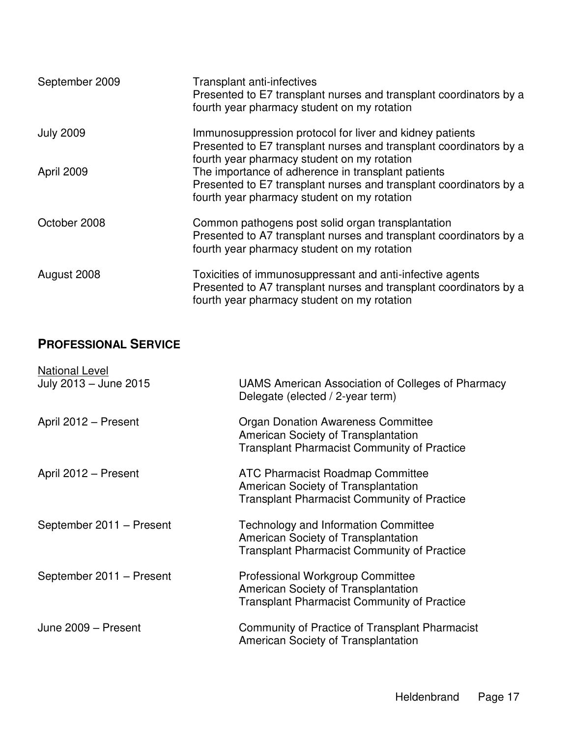| September 2009   | <b>Transplant anti-infectives</b><br>Presented to E7 transplant nurses and transplant coordinators by a<br>fourth year pharmacy student on my rotation                         |
|------------------|--------------------------------------------------------------------------------------------------------------------------------------------------------------------------------|
| <b>July 2009</b> | Immunosuppression protocol for liver and kidney patients<br>Presented to E7 transplant nurses and transplant coordinators by a<br>fourth year pharmacy student on my rotation  |
| April 2009       | The importance of adherence in transplant patients<br>Presented to E7 transplant nurses and transplant coordinators by a<br>fourth year pharmacy student on my rotation        |
| October 2008     | Common pathogens post solid organ transplantation<br>Presented to A7 transplant nurses and transplant coordinators by a<br>fourth year pharmacy student on my rotation         |
| August 2008      | Toxicities of immunosuppressant and anti-infective agents<br>Presented to A7 transplant nurses and transplant coordinators by a<br>fourth year pharmacy student on my rotation |

## **PROFESSIONAL SERVICE**

| <b>National Level</b>    |                                                                                                                                          |
|--------------------------|------------------------------------------------------------------------------------------------------------------------------------------|
| July 2013 - June 2015    | UAMS American Association of Colleges of Pharmacy<br>Delegate (elected / 2-year term)                                                    |
| April 2012 - Present     | <b>Organ Donation Awareness Committee</b><br>American Society of Transplantation<br><b>Transplant Pharmacist Community of Practice</b>   |
| April 2012 - Present     | <b>ATC Pharmacist Roadmap Committee</b><br>American Society of Transplantation<br><b>Transplant Pharmacist Community of Practice</b>     |
| September 2011 - Present | <b>Technology and Information Committee</b><br>American Society of Transplantation<br><b>Transplant Pharmacist Community of Practice</b> |
| September 2011 - Present | <b>Professional Workgroup Committee</b><br>American Society of Transplantation<br><b>Transplant Pharmacist Community of Practice</b>     |
| June 2009 - Present      | Community of Practice of Transplant Pharmacist<br>American Society of Transplantation                                                    |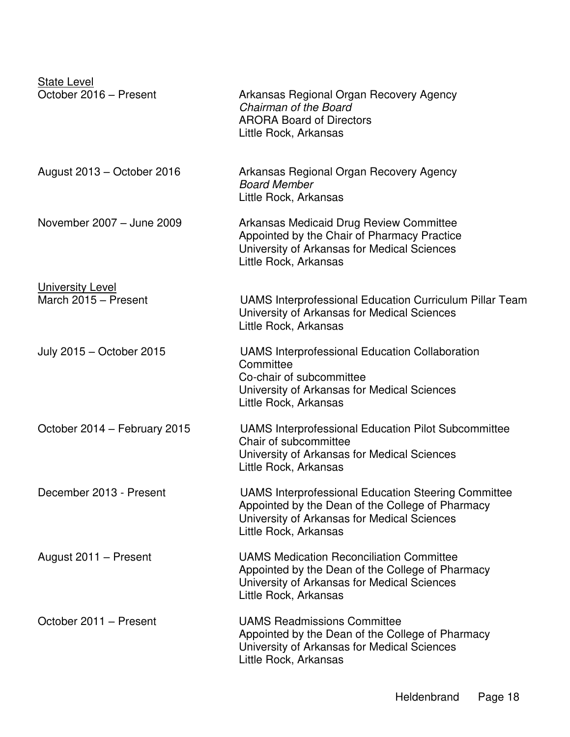| <b>State Level</b><br>October 2016 - Present    | Arkansas Regional Organ Recovery Agency<br>Chairman of the Board<br><b>ARORA Board of Directors</b><br>Little Rock, Arkansas                                                           |
|-------------------------------------------------|----------------------------------------------------------------------------------------------------------------------------------------------------------------------------------------|
| August 2013 - October 2016                      | Arkansas Regional Organ Recovery Agency<br><b>Board Member</b><br>Little Rock, Arkansas                                                                                                |
| November 2007 - June 2009                       | Arkansas Medicaid Drug Review Committee<br>Appointed by the Chair of Pharmacy Practice<br>University of Arkansas for Medical Sciences<br>Little Rock, Arkansas                         |
| <b>University Level</b><br>March 2015 - Present | <b>UAMS Interprofessional Education Curriculum Pillar Team</b><br>University of Arkansas for Medical Sciences<br>Little Rock, Arkansas                                                 |
| July 2015 - October 2015                        | <b>UAMS Interprofessional Education Collaboration</b><br>Committee<br>Co-chair of subcommittee<br>University of Arkansas for Medical Sciences<br>Little Rock, Arkansas                 |
| October 2014 - February 2015                    | <b>UAMS Interprofessional Education Pilot Subcommittee</b><br>Chair of subcommittee<br>University of Arkansas for Medical Sciences<br>Little Rock, Arkansas                            |
| December 2013 - Present                         | <b>UAMS Interprofessional Education Steering Committee</b><br>Appointed by the Dean of the College of Pharmacy<br>University of Arkansas for Medical Sciences<br>Little Rock, Arkansas |
| August 2011 - Present                           | <b>UAMS Medication Reconciliation Committee</b><br>Appointed by the Dean of the College of Pharmacy<br>University of Arkansas for Medical Sciences<br>Little Rock, Arkansas            |
| October 2011 - Present                          | <b>UAMS Readmissions Committee</b><br>Appointed by the Dean of the College of Pharmacy<br>University of Arkansas for Medical Sciences<br>Little Rock, Arkansas                         |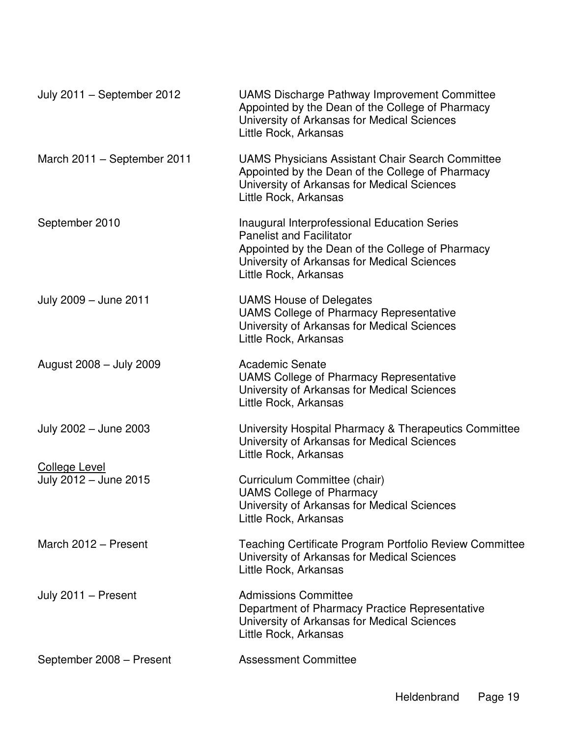| July 2011 - September 2012                    | UAMS Discharge Pathway Improvement Committee<br>Appointed by the Dean of the College of Pharmacy<br>University of Arkansas for Medical Sciences<br>Little Rock, Arkansas                                           |
|-----------------------------------------------|--------------------------------------------------------------------------------------------------------------------------------------------------------------------------------------------------------------------|
| March 2011 - September 2011                   | <b>UAMS Physicians Assistant Chair Search Committee</b><br>Appointed by the Dean of the College of Pharmacy<br>University of Arkansas for Medical Sciences<br>Little Rock, Arkansas                                |
| September 2010                                | <b>Inaugural Interprofessional Education Series</b><br><b>Panelist and Facilitator</b><br>Appointed by the Dean of the College of Pharmacy<br>University of Arkansas for Medical Sciences<br>Little Rock, Arkansas |
| July 2009 - June 2011                         | <b>UAMS House of Delegates</b><br><b>UAMS College of Pharmacy Representative</b><br>University of Arkansas for Medical Sciences<br>Little Rock, Arkansas                                                           |
| August 2008 - July 2009                       | <b>Academic Senate</b><br><b>UAMS College of Pharmacy Representative</b><br>University of Arkansas for Medical Sciences<br>Little Rock, Arkansas                                                                   |
| July 2002 - June 2003                         | University Hospital Pharmacy & Therapeutics Committee<br>University of Arkansas for Medical Sciences<br>Little Rock, Arkansas                                                                                      |
| <b>College Level</b><br>July 2012 - June 2015 | Curriculum Committee (chair)<br><b>UAMS College of Pharmacy</b><br>University of Arkansas for Medical Sciences<br>Little Rock, Arkansas                                                                            |
| March 2012 - Present                          | <b>Teaching Certificate Program Portfolio Review Committee</b><br>University of Arkansas for Medical Sciences<br>Little Rock, Arkansas                                                                             |
| July 2011 - Present                           | <b>Admissions Committee</b><br>Department of Pharmacy Practice Representative<br>University of Arkansas for Medical Sciences<br>Little Rock, Arkansas                                                              |
| September 2008 - Present                      | <b>Assessment Committee</b>                                                                                                                                                                                        |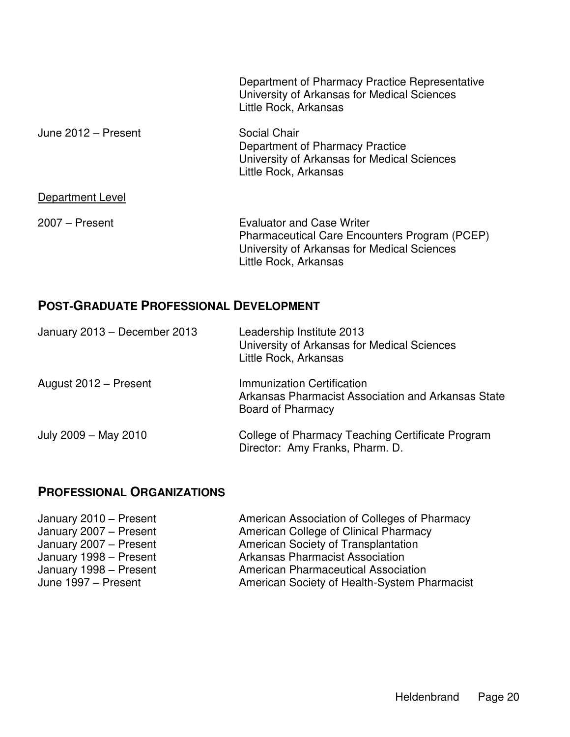|                     | Department of Pharmacy Practice Representative<br>University of Arkansas for Medical Sciences<br>Little Rock, Arkansas                                    |
|---------------------|-----------------------------------------------------------------------------------------------------------------------------------------------------------|
| June 2012 - Present | Social Chair<br>Department of Pharmacy Practice<br>University of Arkansas for Medical Sciences<br>Little Rock, Arkansas                                   |
| Department Level    |                                                                                                                                                           |
| $2007 -$ Present    | <b>Evaluator and Case Writer</b><br>Pharmaceutical Care Encounters Program (PCEP)<br>University of Arkansas for Medical Sciences<br>Little Rock, Arkansas |

## **POST-GRADUATE PROFESSIONAL DEVELOPMENT**

| January 2013 - December 2013 | Leadership Institute 2013<br>University of Arkansas for Medical Sciences<br>Little Rock, Arkansas     |
|------------------------------|-------------------------------------------------------------------------------------------------------|
| August 2012 - Present        | Immunization Certification<br>Arkansas Pharmacist Association and Arkansas State<br>Board of Pharmacy |
| July 2009 - May 2010         | College of Pharmacy Teaching Certificate Program<br>Director: Amy Franks, Pharm. D.                   |

### **PROFESSIONAL ORGANIZATIONS**

| American Association of Colleges of Pharmacy |
|----------------------------------------------|
|                                              |
|                                              |
|                                              |
|                                              |
| American Society of Health-System Pharmacist |
|                                              |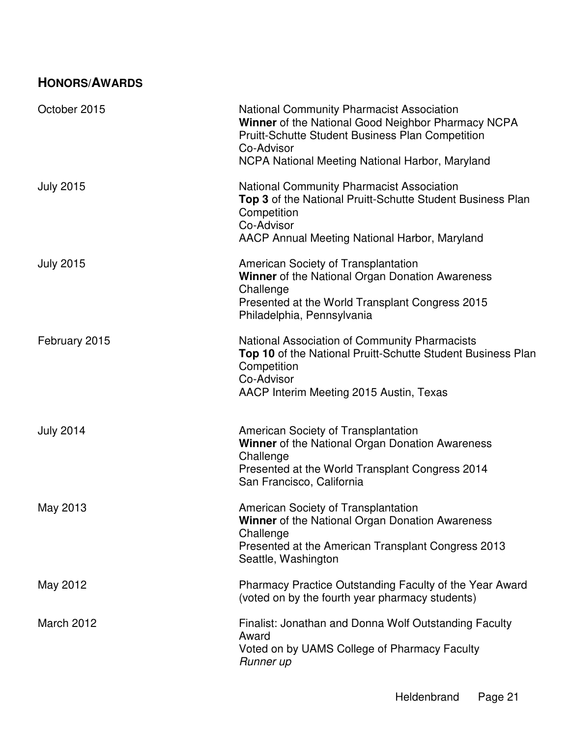# **HONORS/AWARDS**

| October 2015      | <b>National Community Pharmacist Association</b><br>Winner of the National Good Neighbor Pharmacy NCPA<br><b>Pruitt-Schutte Student Business Plan Competition</b><br>Co-Advisor<br>NCPA National Meeting National Harbor, Maryland |
|-------------------|------------------------------------------------------------------------------------------------------------------------------------------------------------------------------------------------------------------------------------|
| <b>July 2015</b>  | <b>National Community Pharmacist Association</b><br>Top 3 of the National Pruitt-Schutte Student Business Plan<br>Competition<br>Co-Advisor<br>AACP Annual Meeting National Harbor, Maryland                                       |
| <b>July 2015</b>  | American Society of Transplantation<br><b>Winner</b> of the National Organ Donation Awareness<br>Challenge<br>Presented at the World Transplant Congress 2015<br>Philadelphia, Pennsylvania                                        |
| February 2015     | National Association of Community Pharmacists<br>Top 10 of the National Pruitt-Schutte Student Business Plan<br>Competition<br>Co-Advisor<br>AACP Interim Meeting 2015 Austin, Texas                                               |
| <b>July 2014</b>  | American Society of Transplantation<br><b>Winner</b> of the National Organ Donation Awareness<br>Challenge<br>Presented at the World Transplant Congress 2014<br>San Francisco, California                                         |
| May 2013          | American Society of Transplantation<br>Winner of the National Organ Donation Awareness<br>Challenge<br>Presented at the American Transplant Congress 2013<br>Seattle, Washington                                                   |
| May 2012          | Pharmacy Practice Outstanding Faculty of the Year Award<br>(voted on by the fourth year pharmacy students)                                                                                                                         |
| <b>March 2012</b> | Finalist: Jonathan and Donna Wolf Outstanding Faculty<br>Award<br>Voted on by UAMS College of Pharmacy Faculty<br>Runner up                                                                                                        |